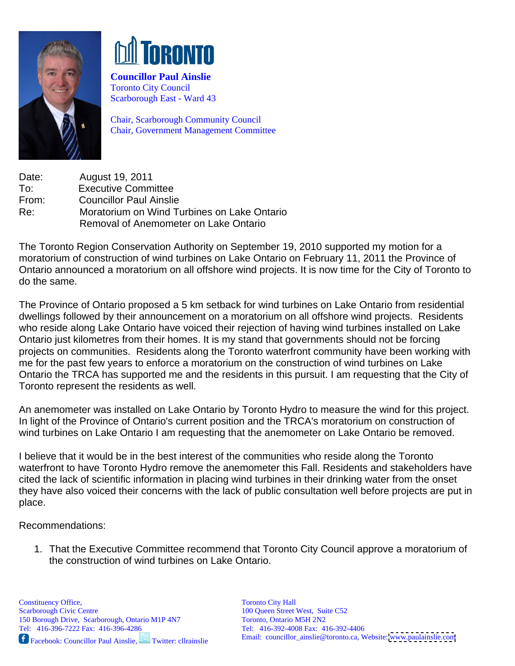



**Councillor Paul Ainslie**  Toronto City Council Scarborough East - Ward 43

Chair, Scarborough Community Council Chair, Government Management Committee

Date: August 19, 2011 To: Executive Committee From: Councillor Paul Ainslie Re: Moratorium on Wind Turbines on Lake Ontario Removal of Anemometer on Lake Ontario

The Toronto Region Conservation Authority on September 19, 2010 supported my motion for a moratorium of construction of wind turbines on Lake Ontario on February 11, 2011 the Province of Ontario announced a moratorium on all offshore wind projects. It is now time for the City of Toronto to do the same. The same of the same of the same of the same of the same of the same of the same of the same of the same of the same of the same of the same of the same of the same of the same of the same of the same of the s

The Province of Ontario proposed a 5 km setback for wind turbines on Lake Ontario from residential dwellings followed by their announcement on a moratorium on all offshore wind projects. Residents who reside along Lake Ontario have voiced their rejection of having wind turbines installed on Lake Ontario just kilometres from their homes. It is my stand that governments should not be forcing projects on communities. Residents along the Toronto waterfront community have been working with me for the past few years to enforce a moratorium on the construction of wind turbines on Lake Ontario the TRCA has supported me and the residents in this pursuit. I am requesting that the City of Toronto represent the residents as well.

An anemometer was installed on Lake Ontario by Toronto Hydro to measure the wind for this project. In light of the Province of Ontario's current position and the TRCA's moratorium on construction of wind turbines on Lake Ontario I am requesting that the anemometer on Lake Ontario be removed.

I believe that it would be in the best interest of the communities who reside along the Toronto waterfront to have Toronto Hydro remove the anemometer this Fall. Residents and stakeholders have cited the lack of scientific information in placing wind turbines in their drinking water from the onset they have also voiced their concerns with the lack of public consultation well before projects are put in place.<br>Recommendations:

1. That the Executive Committee recommend that Toronto City Council approve a moratorium of the construction of wind turbines on Lake Ontario.

Facebook: Councillor Paul Ainslie, Twitter: cllrainslie